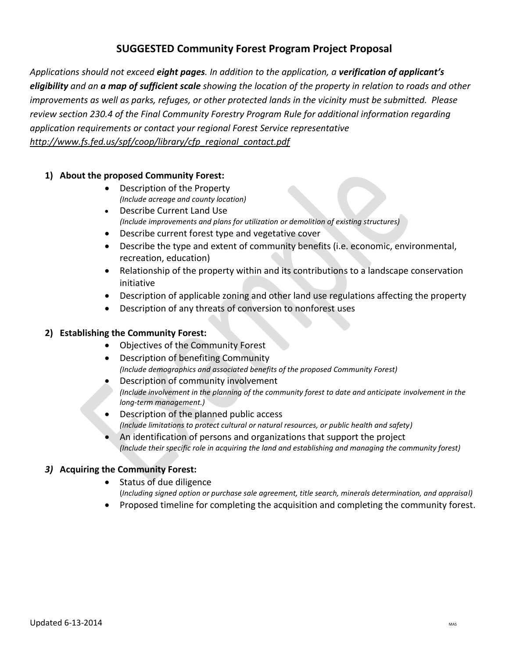## **SUGGESTED Community Forest Program Project Proposal**

*Applications should not exceed eight pages. In addition to the application, a verification of applicant's eligibility and an a map of sufficient scale showing the location of the property in relation to roads and other improvements as well as parks, refuges, or other protected lands in the vicinity must be submitted. Please review section 230.4 of the Final Community Forestry Program Rule for additional information regarding application requirements or contact your regional Forest Service representative http://www.fs.fed.us/spf/coop/library/cfp\_regional\_contact.pdf*

#### **1) About the proposed Community Forest:**

- Description of the Property *(Include acreage and county location)*
- Describe Current Land Use  *(Include improvements and plans for utilization or demolition of existing structures)*
- Describe current forest type and vegetative cover
- Describe the type and extent of community benefits (i.e. economic, environmental, recreation, education)
- Relationship of the property within and its contributions to a landscape conservation initiative
- Description of applicable zoning and other land use regulations affecting the property
- Description of any threats of conversion to nonforest uses

#### **2) Establishing the Community Forest:**

- Objectives of the Community Forest
- Description of benefiting Community *(Include demographics and associated benefits of the proposed Community Forest)*
- Description of community involvement *(Include involvement in the planning of the community forest to date and anticipate involvement in the long-term management.)*
- Description of the planned public access *(Include limitations to protect cultural or natural resources, or public health and safety)*
- An identification of persons and organizations that support the project *(Include their specific role in acquiring the land and establishing and managing the community forest)*

### *3)* **Acquiring the Community Forest:**

- Status of due diligence (*Including signed option or purchase sale agreement, title search, minerals determination, and appraisal)*
- Proposed timeline for completing the acquisition and completing the community forest.